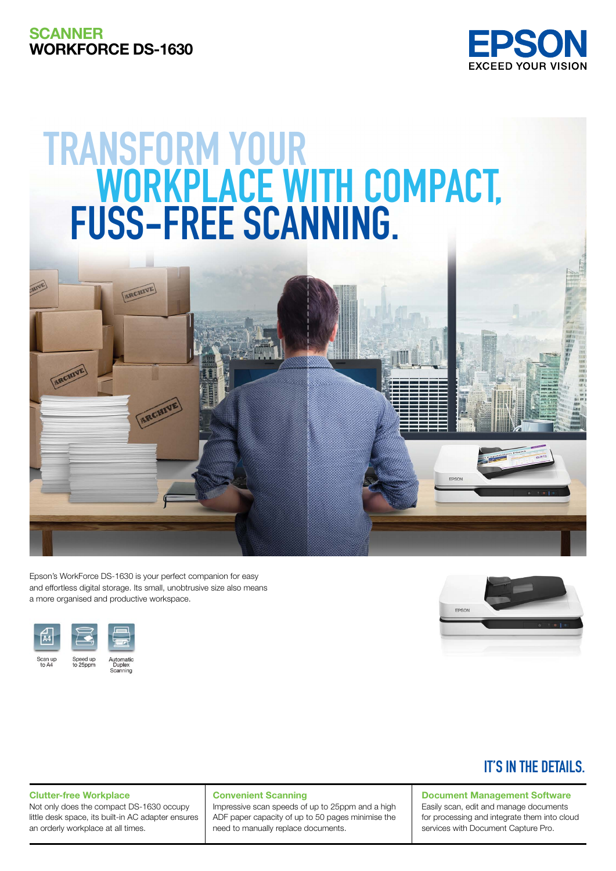# **SCANNER** Workforce DS-1630



# **Transform your workPLace with compact, fuss-free scanning.**



**ARCHIVE** 





# **IT'S IN THE DETAILS.**

Clutter-free Workplace

Not only does the compact DS-1630 occupy little desk space, its built-in AC adapter ensures an orderly workplace at all times.

#### Convenient Scanning

Impressive scan speeds of up to 25ppm and a high ADF paper capacity of up to 50 pages minimise the need to manually replace documents.

# Document Management Software

Easily scan, edit and manage documents for processing and integrate them into cloud services with Document Capture Pro.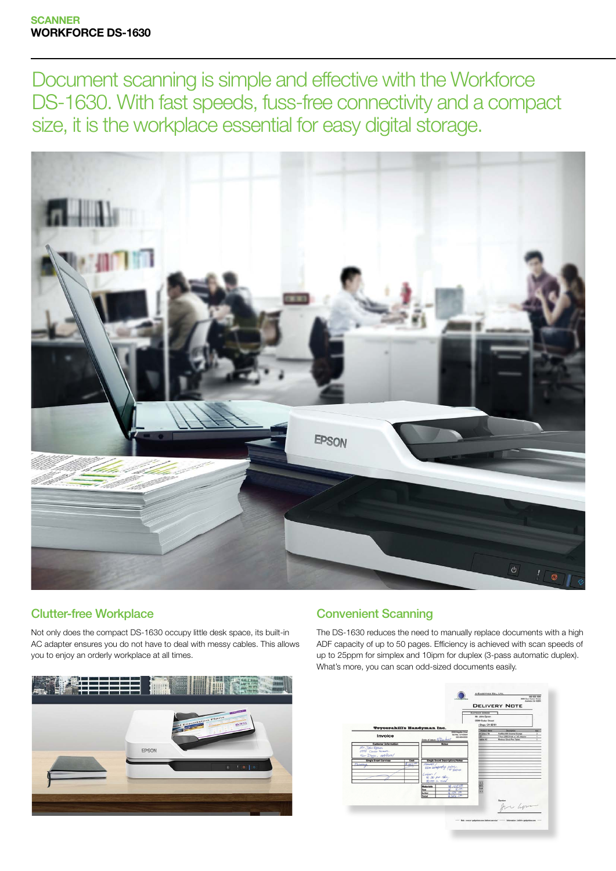Document scanning is simple and effective with the Workforce DS-1630. With fast speeds, fuss-free connectivity and a compact size, it is the workplace essential for easy digital storage.



# Clutter-free Workplace

Not only does the compact DS-1630 occupy little desk space, its built-in AC adapter ensures you do not have to deal with messy cables. This allows you to enjoy an orderly workplace at all times.



## Convenient Scanning

The DS-1630 reduces the need to manually replace documents with a high ADF capacity of up to 50 pages. Efficiency is achieved with scan speeds of up to 25ppm for simplex and 10ipm for duplex (3-pass automatic duplex). What's more, you can scan odd-sized documents easily.

|                                                                                                                                                        |                                                                                                            | <b>Eustoven Aprens</b><br>Mr. John Epson<br>0000 Ceder Street<br>Diego, CA 92101 |                                                                                                                              |                                 |
|--------------------------------------------------------------------------------------------------------------------------------------------------------|------------------------------------------------------------------------------------------------------------|----------------------------------------------------------------------------------|------------------------------------------------------------------------------------------------------------------------------|---------------------------------|
| <b>Trycerahill's Handyman Inc.</b><br>Invoice<br><b>Customer Information</b>                                                                           | <b>GEOGRAPHIC Color</b><br>Del Mar, CA 92014<br>000-000-0000<br>Date of issue: 9/ Dec bell<br><b>Notes</b> | <b><i><u>Product Name</u></i></b><br>41 Drive 2TB<br>÷<br><b>Saldier A.3</b>     | <b>Description</b><br>FireWire 800 External Storage<br>7 Port US\$3.0 Hub w/ AD Adwise<br>Miralesa <i>  Brich Pan Tablet</i> | <b>Ory</b><br>$\mathbf{r}$<br>Ŧ |
| Mr. John Epson<br>0000 Coiser Server.<br>$S_{\text{max}}$ Diggs, $\alpha$ A9 $\alpha$<br><b>Single Event Services</b><br>Cost<br>263<br>administration | <b>Single Event Description/Notes</b><br>Marriet's /<br>WHITE WEAPONEST POSTE.                             |                                                                                  |                                                                                                                              |                                 |
|                                                                                                                                                        | Labor /<br>$#30 \text{ pc}$ Chr.<br>$d$ /(7) $2n$ view<br><b>Materials</b><br>ros<br>o za<br><b>Tax</b>    | 137<br>4813<br>137                                                               |                                                                                                                              |                                 |
|                                                                                                                                                        | 47.00<br>Labor<br>of Sales Life<br>Total                                                                   |                                                                                  | for apri                                                                                                                     |                                 |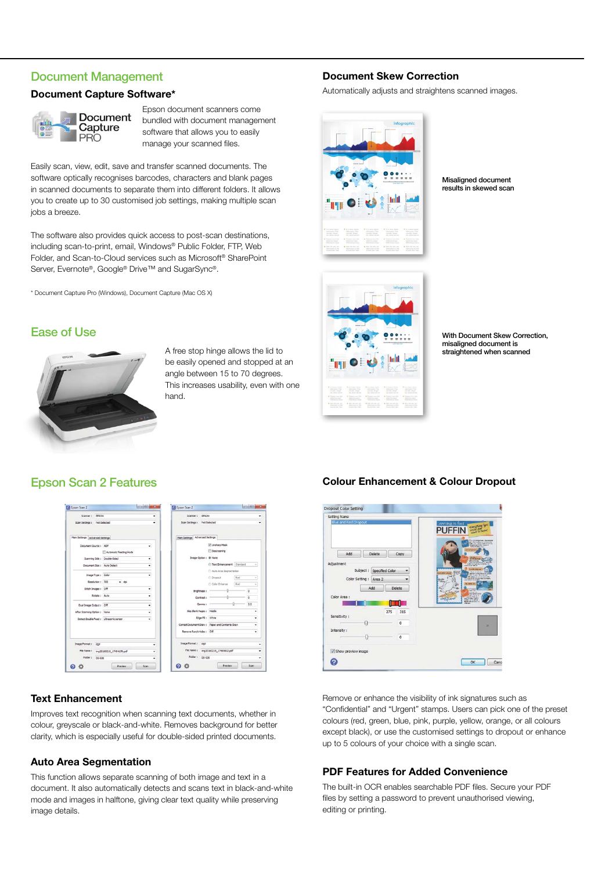#### Document Management

#### Document Capture Software\*



Epson document scanners come bundled with document management software that allows you to easily manage your scanned files.

Easily scan, view, edit, save and transfer scanned documents. The software optically recognises barcodes, characters and blank pages in scanned documents to separate them into different folders. It allows you to create up to 30 customised job settings, making multiple scan jobs a breeze.

The software also provides quick access to post-scan destinations, including scan-to-print, email, Windows® Public Folder, FTP, Web Folder, and Scan-to-Cloud services such as Microsoft® SharePoint Server, Evernote®, Google® Drive™ and SugarSync®.

\* Document Capture Pro (Windows), Document Capture (Mac OS X)

# Ease of Use



A free stop hinge allows the lid to be easily opened and stopped at an angle between 15 to 70 degrees. This increases usability, even with one hand.

## Epson Scan 2 Features

| Scener: FRONT                          |                          |   | Scenner: EPSON                  |                    |                                                 |     |          |
|----------------------------------------|--------------------------|---|---------------------------------|--------------------|-------------------------------------------------|-----|----------|
| Scan Settings : Not Selected           |                          |   | Scan Settings : Not Selected    |                    |                                                 |     |          |
| Main Settings Advanced Settings        |                          |   | Main Settings Advanced Settings |                    |                                                 |     |          |
| Document Source : ADF                  |                          | ٠ |                                 |                    | V Unsharp Mask                                  |     |          |
|                                        | Automatic Feeding Mode   |   |                                 |                    | Descreening                                     |     |          |
| Scanning Side : Double-Sided           |                          | ٠ |                                 |                    | Image Option : @ None                           |     |          |
| Document Size : Auto Detect            |                          | ٠ |                                 |                    | Text Enhancement Standard                       |     | $\sim$   |
|                                        |                          |   |                                 |                    | C Auto Area Segmentation                        |     |          |
| Image Type: Color                      |                          | ٠ |                                 |                    | C Dropput                                       | Red | $\alpha$ |
| Resolution: 300                        | $-$ doi                  |   |                                 |                    | Color Enhance                                   | Red | $\sim$   |
| \$10th Images : Off                    |                          | ۰ |                                 | <b>Brightness:</b> |                                                 |     | $\circ$  |
| Rotate: Auto                           |                          |   |                                 | Contrast :         |                                                 |     | $\alpha$ |
| Dual Image Output: Off                 |                          | ٠ |                                 | Gamma :            |                                                 |     | 2.2      |
| After Scanning Option : None           |                          | ۰ | Skip Blank Pages : Mddle        |                    |                                                 |     | ۰        |
| Detect Double Feed : Ultrasonic sensor |                          | ٠ |                                 |                    | Edge Fill : White                               |     | ٠        |
|                                        |                          |   |                                 |                    | Correct Document Skew : Paper and Contents Skew |     | ٠        |
|                                        |                          |   | Remove Punch Holes : Off        |                    |                                                 |     | ٠        |
| Image Format: por                      |                          |   | Image Format: pep               |                    |                                                 |     |          |
| File Name:                             | ing20160219_17494178.pdf | ٠ |                                 |                    | File Name: mg20160219_17495612.pdf              |     |          |
| Folder: ps-530                         |                          |   | Folder: ps-530                  |                    |                                                 |     |          |

#### Text Enhancement

Improves text recognition when scanning text documents, whether in colour, greyscale or black-and-white. Removes background for better clarity, which is especially useful for double-sided printed documents.

#### Auto Area Segmentation

This function allows separate scanning of both image and text in a document. It also automatically detects and scans text in black-and-white mode and images in halftone, giving clear text quality while preserving image details.

#### Document Skew Correction

Automatically adjusts and straightens scanned images.



Misaligned document results in skewed scan



With Document Skew Correction, misaligned document is straightened when scanned



Remove or enhance the visibility of ink signatures such as "Confidential" and "Urgent" stamps. Users can pick one of the preset colours (red, green, blue, pink, purple, yellow, orange, or all colours except black), or use the customised settings to dropout or enhance up to 5 colours of your choice with a single scan.

#### PDF Features for Added Convenience

The built-in OCR enables searchable PDF files. Secure your PDF files by setting a password to prevent unauthorised viewing, editing or printing.